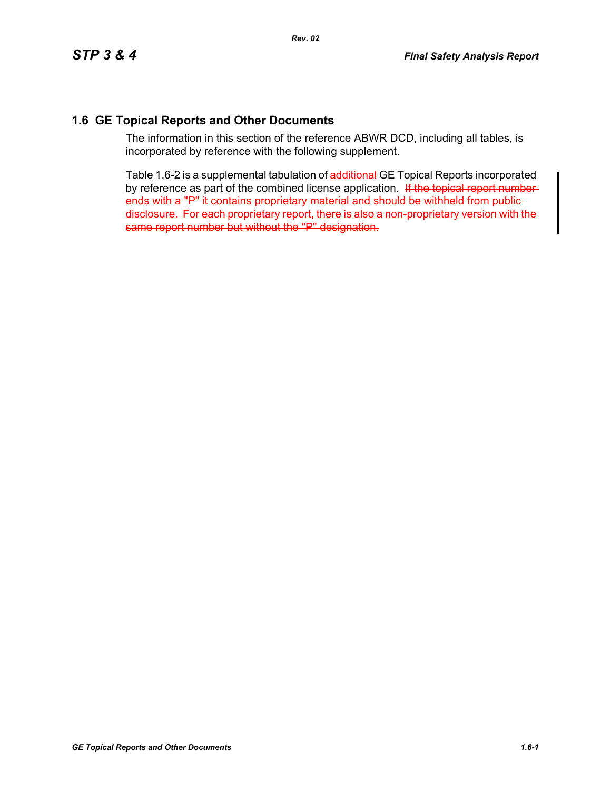## **1.6 GE Topical Reports and Other Documents**

The information in this section of the reference ABWR DCD, including all tables, is incorporated by reference with the following supplement.

Table 1.6-2 is a supplemental tabulation of additional GE Topical Reports incorporated by reference as part of the combined license application. If the topical report numberends with a "P" it contains proprietary material and should be withheld from publicdisclosure. For each proprietary report, there is also a non-proprietary version with the same report number but without the "P" designation.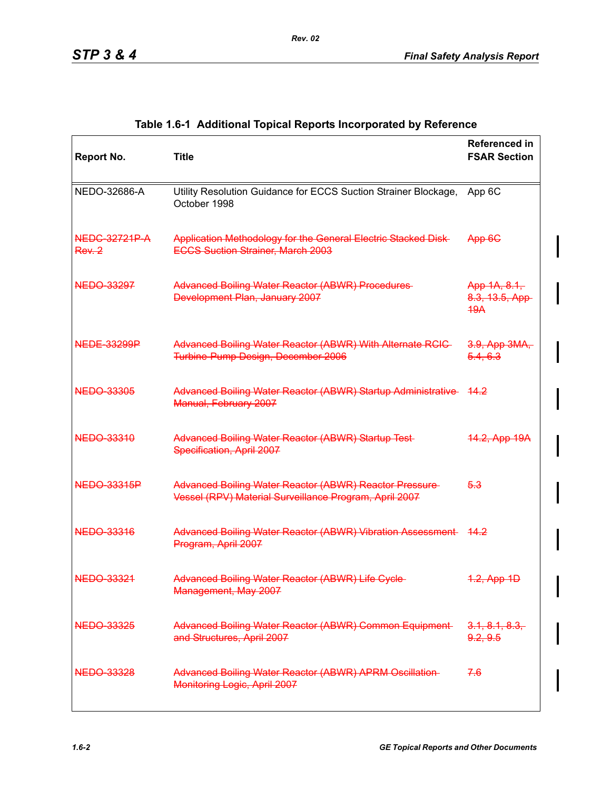| <b>Report No.</b>             | <b>Title</b>                                                                                                             | <b>Referenced in</b><br><b>FSAR Section</b> |
|-------------------------------|--------------------------------------------------------------------------------------------------------------------------|---------------------------------------------|
| NEDO-32686-A                  | Utility Resolution Guidance for ECCS Suction Strainer Blockage,<br>October 1998                                          | App 6C                                      |
| <b>NEDG-32721P-A</b><br>Rev.2 | Application Methodology for the General Electric Stacked Disk-<br><b>ECCS Suction Strainer, March 2003</b>               | App 6G                                      |
| NEDO-33297                    | Advanced Boiling Water Reactor (ABWR) Procedures-<br>Development Plan, January 2007                                      | App 1A, 8.1,<br>8.3, 13.5, App<br>49A       |
| <b>NEDE-33299P</b>            | Advanced Boiling Water Reactor (ABWR) With Alternate RCIC-<br><b>Turbine Pump Design, December 2006</b>                  | 3.9, App 3MA,<br>5.4, 6.3                   |
| <b>NEDO 33305</b>             | Advanced Boiling Water Reactor (ABWR) Startup Administrative<br>Manual, February 2007                                    | <del>14.2</del>                             |
| NEDO-33310                    | Advanced Boiling Water Reactor (ABWR) Startup Test-<br>Specification, April 2007                                         | 14.2, App 19A                               |
| <b>NEDO 33315P</b>            | <b>Advanced Boiling Water Reactor (ABWR) Reactor Pressure-</b><br>Vessel (RPV) Material Surveillance Program, April 2007 | 5.3                                         |
| <b>NEDO 33316</b>             | Advanced Boiling Water Reactor (ABWR) Vibration Assessment 44.2<br>Program, April 2007                                   |                                             |
| NEDO-33321                    | <b>Advanced Boiling Water Reactor (ABWR) Life Cycle</b><br>Management, May 2007                                          | 1.2, App 1D                                 |
| <b>NEDO 33325</b>             | Advanced Boiling Water Reactor (ABWR) Common Equipment-<br>and Structures, April 2007                                    | 3.1, 8.1, 8.3,<br>9.2, 9.5                  |
| <b>NEDO 33328</b>             | <b>Advanced Boiling Water Reactor (ABWR) APRM Oscillation-</b><br>Monitoring Logic, April 2007                           | 7.6                                         |

## **Table 1.6-1 Additional Topical Reports Incorporated by Reference**

*Rev. 02*